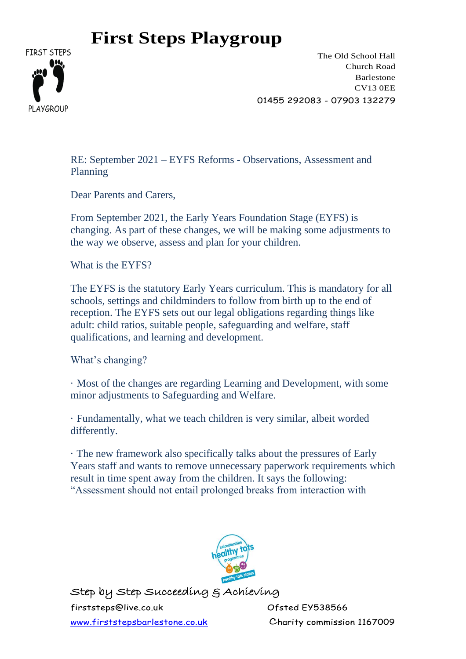

The Old School Hall Church Road Barlestone CV13 0EE 01455 292083 - 07903 132279

RE: September 2021 – EYFS Reforms - Observations, Assessment and Planning

Dear Parents and Carers,

From September 2021, the Early Years Foundation Stage (EYFS) is changing. As part of these changes, we will be making some adjustments to the way we observe, assess and plan for your children.

What is the EYFS?

The EYFS is the statutory Early Years curriculum. This is mandatory for all schools, settings and childminders to follow from birth up to the end of reception. The EYFS sets out our legal obligations regarding things like adult: child ratios, suitable people, safeguarding and welfare, staff qualifications, and learning and development.

What's changing?

· Most of the changes are regarding Learning and Development, with some minor adjustments to Safeguarding and Welfare.

· Fundamentally, what we teach children is very similar, albeit worded differently.

· The new framework also specifically talks about the pressures of Early Years staff and wants to remove unnecessary paperwork requirements which result in time spent away from the children. It says the following: "Assessment should not entail prolonged breaks from interaction with



Step by Step Succeeding & Achieving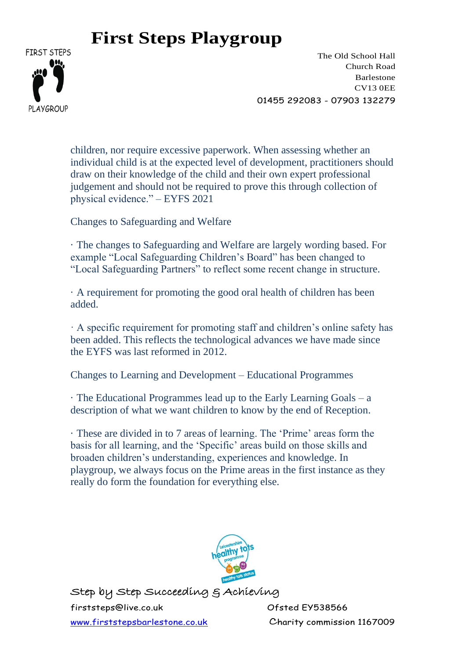

The Old School Hall Church Road Barlestone CV13 0EE 01455 292083 - 07903 132279

children, nor require excessive paperwork. When assessing whether an individual child is at the expected level of development, practitioners should draw on their knowledge of the child and their own expert professional judgement and should not be required to prove this through collection of physical evidence." – EYFS 2021

Changes to Safeguarding and Welfare

· The changes to Safeguarding and Welfare are largely wording based. For example "Local Safeguarding Children's Board" has been changed to "Local Safeguarding Partners" to reflect some recent change in structure.

· A requirement for promoting the good oral health of children has been added.

· A specific requirement for promoting staff and children's online safety has been added. This reflects the technological advances we have made since the EYFS was last reformed in 2012.

Changes to Learning and Development – Educational Programmes

· The Educational Programmes lead up to the Early Learning Goals – a description of what we want children to know by the end of Reception.

· These are divided in to 7 areas of learning. The 'Prime' areas form the basis for all learning, and the 'Specific' areas build on those skills and broaden children's understanding, experiences and knowledge. In playgroup, we always focus on the Prime areas in the first instance as they really do form the foundation for everything else.



Step by Step Succeeding & Achieving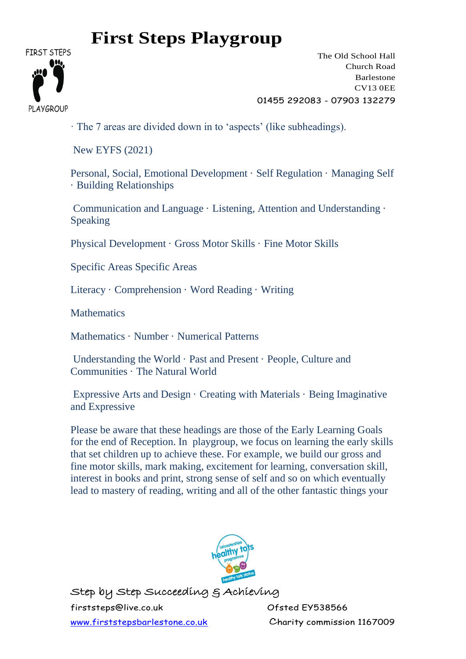

The Old School Hall Church Road Barlestone CV13 0EE 01455 292083 - 07903 132279

· The 7 areas are divided down in to 'aspects' (like subheadings).

New EYFS (2021)

Personal, Social, Emotional Development · Self Regulation · Managing Self · Building Relationships

Communication and Language · Listening, Attention and Understanding · Speaking

Physical Development · Gross Motor Skills · Fine Motor Skills

Specific Areas Specific Areas

Literacy · Comprehension · Word Reading · Writing

**Mathematics** 

Mathematics · Number · Numerical Patterns

Understanding the World · Past and Present · People, Culture and Communities · The Natural World

Expressive Arts and Design · Creating with Materials · Being Imaginative and Expressive

Please be aware that these headings are those of the Early Learning Goals for the end of Reception. In playgroup, we focus on learning the early skills that set children up to achieve these. For example, we build our gross and fine motor skills, mark making, excitement for learning, conversation skill, interest in books and print, strong sense of self and so on which eventually lead to mastery of reading, writing and all of the other fantastic things your



Step by Step Succeeding & Achieving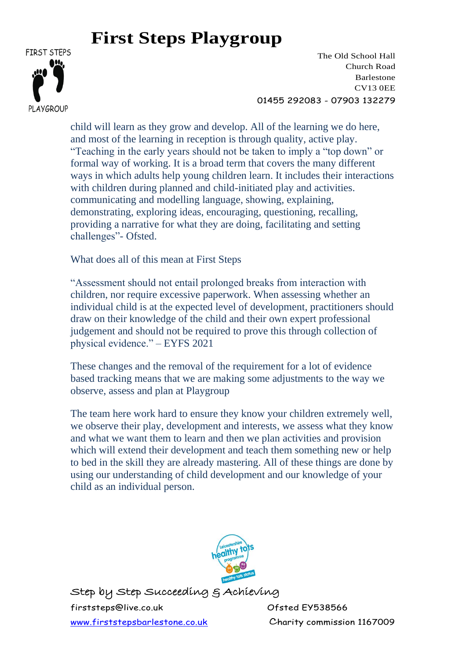

The Old School Hall Church Road Barlestone CV13 0EE 01455 292083 - 07903 132279

child will learn as they grow and develop. All of the learning we do here, and most of the learning in reception is through quality, active play. "Teaching in the early years should not be taken to imply a "top down" or formal way of working. It is a broad term that covers the many different ways in which adults help young children learn. It includes their interactions with children during planned and child-initiated play and activities. communicating and modelling language, showing, explaining, demonstrating, exploring ideas, encouraging, questioning, recalling, providing a narrative for what they are doing, facilitating and setting challenges"- Ofsted.

What does all of this mean at First Steps

"Assessment should not entail prolonged breaks from interaction with children, nor require excessive paperwork. When assessing whether an individual child is at the expected level of development, practitioners should draw on their knowledge of the child and their own expert professional judgement and should not be required to prove this through collection of physical evidence." – EYFS 2021

These changes and the removal of the requirement for a lot of evidence based tracking means that we are making some adjustments to the way we observe, assess and plan at Playgroup

The team here work hard to ensure they know your children extremely well, we observe their play, development and interests, we assess what they know and what we want them to learn and then we plan activities and provision which will extend their development and teach them something new or help to bed in the skill they are already mastering. All of these things are done by using our understanding of child development and our knowledge of your child as an individual person.



Step by Step Succeeding & Achieving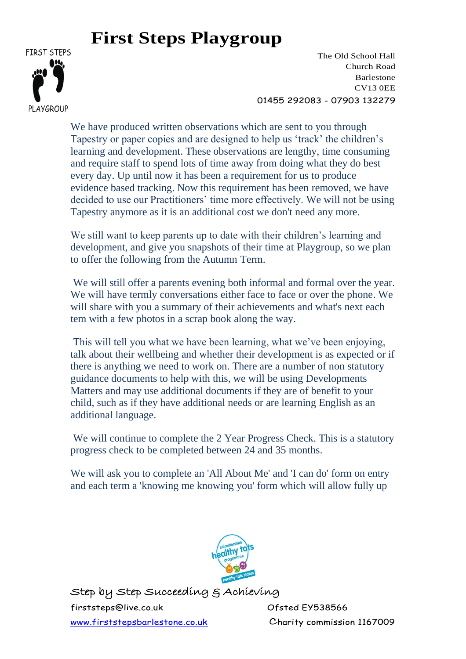

The Old School Hall Church Road Barlestone CV13 0EE 01455 292083 - 07903 132279

We have produced written observations which are sent to you through Tapestry or paper copies and are designed to help us 'track' the children's learning and development. These observations are lengthy, time consuming and require staff to spend lots of time away from doing what they do best every day. Up until now it has been a requirement for us to produce evidence based tracking. Now this requirement has been removed, we have decided to use our Practitioners' time more effectively. We will not be using Tapestry anymore as it is an additional cost we don't need any more.

We still want to keep parents up to date with their children's learning and development, and give you snapshots of their time at Playgroup, so we plan to offer the following from the Autumn Term.

We will still offer a parents evening both informal and formal over the year. We will have termly conversations either face to face or over the phone. We will share with you a summary of their achievements and what's next each tem with a few photos in a scrap book along the way.

This will tell you what we have been learning, what we've been enjoying, talk about their wellbeing and whether their development is as expected or if there is anything we need to work on. There are a number of non statutory guidance documents to help with this, we will be using Developments Matters and may use additional documents if they are of benefit to your child, such as if they have additional needs or are learning English as an additional language.

We will continue to complete the 2 Year Progress Check. This is a statutory progress check to be completed between 24 and 35 months.

We will ask you to complete an 'All About Me' and 'I can do' form on entry and each term a 'knowing me knowing you' form which will allow fully up



Step by Step Succeeding & Achieving